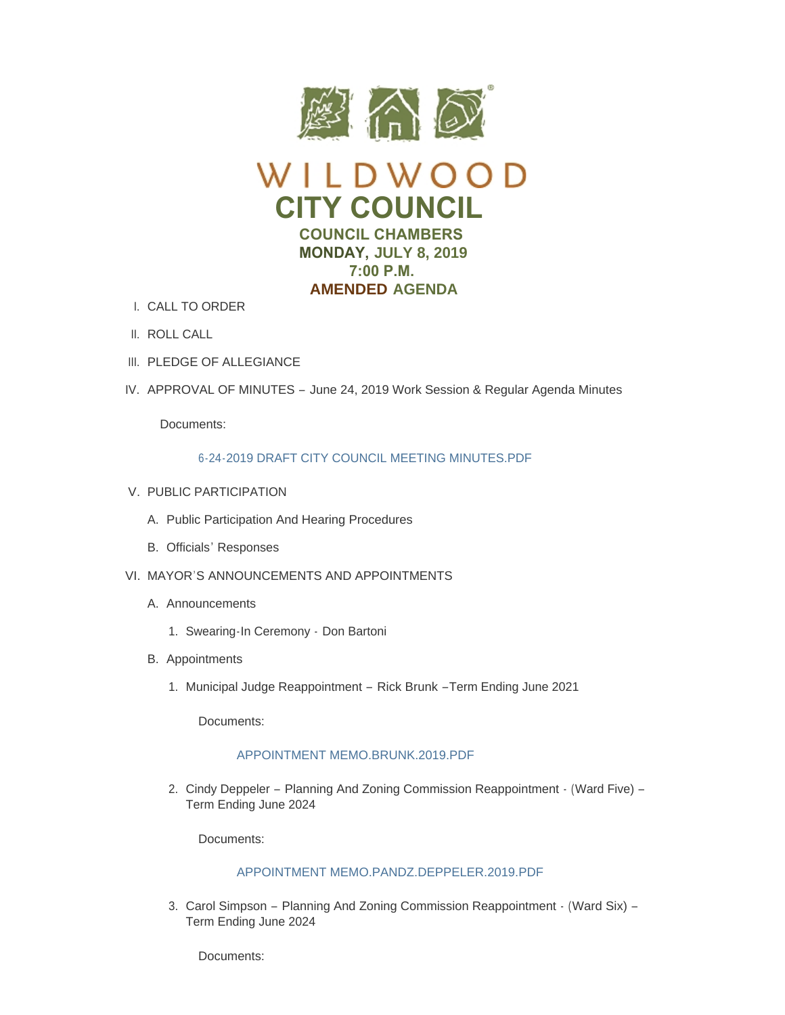



- CALL TO ORDER I.
- II. ROLL CALL
- III. PLEDGE OF ALLEGIANCE
- IV. APPROVAL OF MINUTES June 24, 2019 Work Session & Regular Agenda Minutes

Documents:

# [6-24-2019 DRAFT CITY COUNCIL MEETING MINUTES.PDF](https://www.cityofwildwood.com/AgendaCenter/ViewFile/Item/20943?fileID=26725)

- V. PUBLIC PARTICIPATION
	- A. Public Participation And Hearing Procedures
	- B. Officials' Responses
- VI. MAYOR'S ANNOUNCEMENTS AND APPOINTMENTS
	- A. Announcements
		- 1. Swearing-In Ceremony Don Bartoni
	- B. Appointments
		- 1. Municipal Judge Reappointment Rick Brunk Term Ending June 2021

Documents:

## [APPOINTMENT MEMO.BRUNK.2019.PDF](https://www.cityofwildwood.com/AgendaCenter/ViewFile/Item/20951?fileID=26754)

2. Cindy Deppeler – Planning And Zoning Commission Reappointment  $\cdot$  (Ward Five) – Term Ending June 2024

Documents:

## [APPOINTMENT MEMO.PANDZ.DEPPELER.2019.PDF](https://www.cityofwildwood.com/AgendaCenter/ViewFile/Item/20953?fileID=26753)

3. Carol Simpson - Planning And Zoning Commission Reappointment - (Ward Six) -Term Ending June 2024

Documents: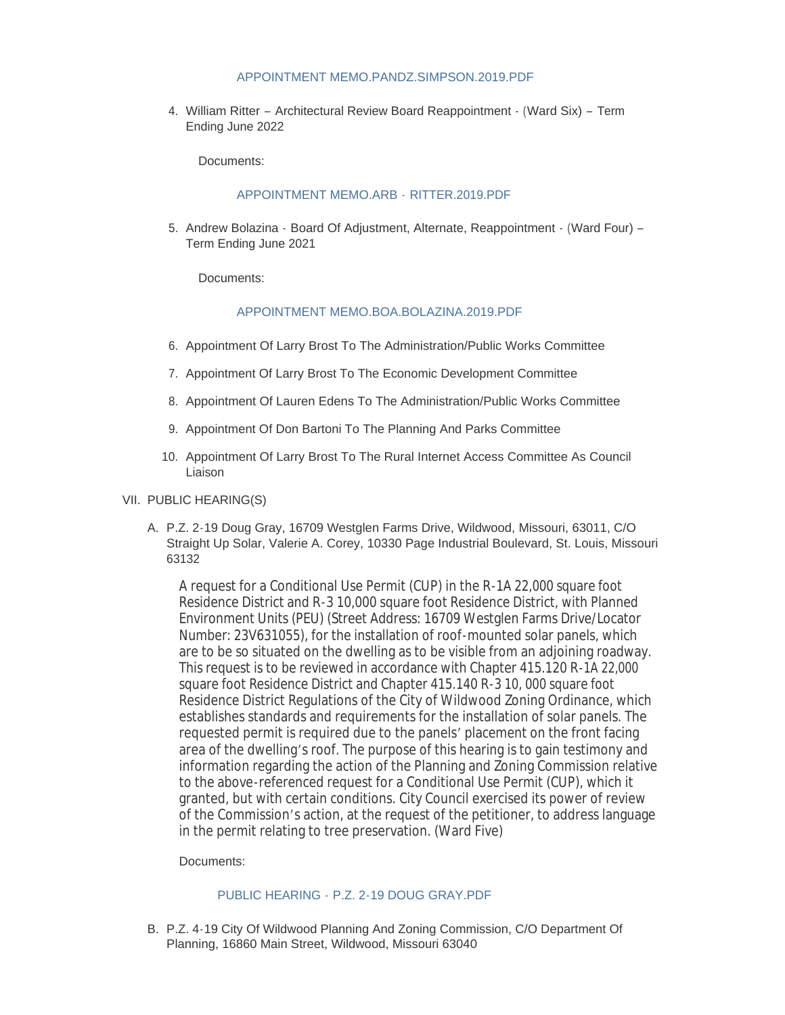#### [APPOINTMENT MEMO.PANDZ.SIMPSON.2019.PDF](https://www.cityofwildwood.com/AgendaCenter/ViewFile/Item/20954?fileID=26752)

4. William Ritter – Architectural Review Board Reappointment - (Ward Six) – Term Ending June 2022

Documents:

## [APPOINTMENT MEMO.ARB -](https://www.cityofwildwood.com/AgendaCenter/ViewFile/Item/20955?fileID=26755) RITTER.2019.PDF

5. Andrew Bolazina - Board Of Adjustment, Alternate, Reappointment - (Ward Four) -Term Ending June 2021

Documents:

### [APPOINTMENT MEMO.BOA.BOLAZINA.2019.PDF](https://www.cityofwildwood.com/AgendaCenter/ViewFile/Item/21039?fileID=26756)

- 6. Appointment Of Larry Brost To The Administration/Public Works Committee
- 7. Appointment Of Larry Brost To The Economic Development Committee
- 8. Appointment Of Lauren Edens To The Administration/Public Works Committee
- 9. Appointment Of Don Bartoni To The Planning And Parks Committee
- 10. Appointment Of Larry Brost To The Rural Internet Access Committee As Council Liaison

#### VII. PUBLIC HEARING(S)

A. P.Z. 2-19 Doug Gray, 16709 Westglen Farms Drive, Wildwood, Missouri, 63011, C/O Straight Up Solar, Valerie A. Corey, 10330 Page Industrial Boulevard, St. Louis, Missouri 63132

A request for a Conditional Use Permit (CUP) in the R-1A 22,000 square foot Residence District and R-3 10,000 square foot Residence District, with Planned Environment Units (PEU) (Street Address: 16709 Westglen Farms Drive/Locator Number: 23V631055), for the installation of roof-mounted solar panels, which are to be so situated on the dwelling as to be visible from an adjoining roadway. This request is to be reviewed in accordance with Chapter 415.120 R-1A 22,000 square foot Residence District and Chapter 415.140 R-3 10, 000 square foot Residence District Regulations of the City of Wildwood Zoning Ordinance, which establishes standards and requirements for the installation of solar panels. The requested permit is required due to the panels' placement on the front facing area of the dwelling's roof. The purpose of this hearing is to gain testimony and information regarding the action of the Planning and Zoning Commission relative to the above-referenced request for a Conditional Use Permit (CUP), which it granted, but with certain conditions. City Council exercised its power of review of the Commission's action, at the request of the petitioner, to address language in the permit relating to tree preservation. (Ward Five)

Documents:

## PUBLIC HEARING - [P.Z. 2-19 DOUG GRAY.PDF](https://www.cityofwildwood.com/AgendaCenter/ViewFile/Item/20968?fileID=26726)

B. P.Z. 4-19 City Of Wildwood Planning And Zoning Commission, C/O Department Of Planning, 16860 Main Street, Wildwood, Missouri 63040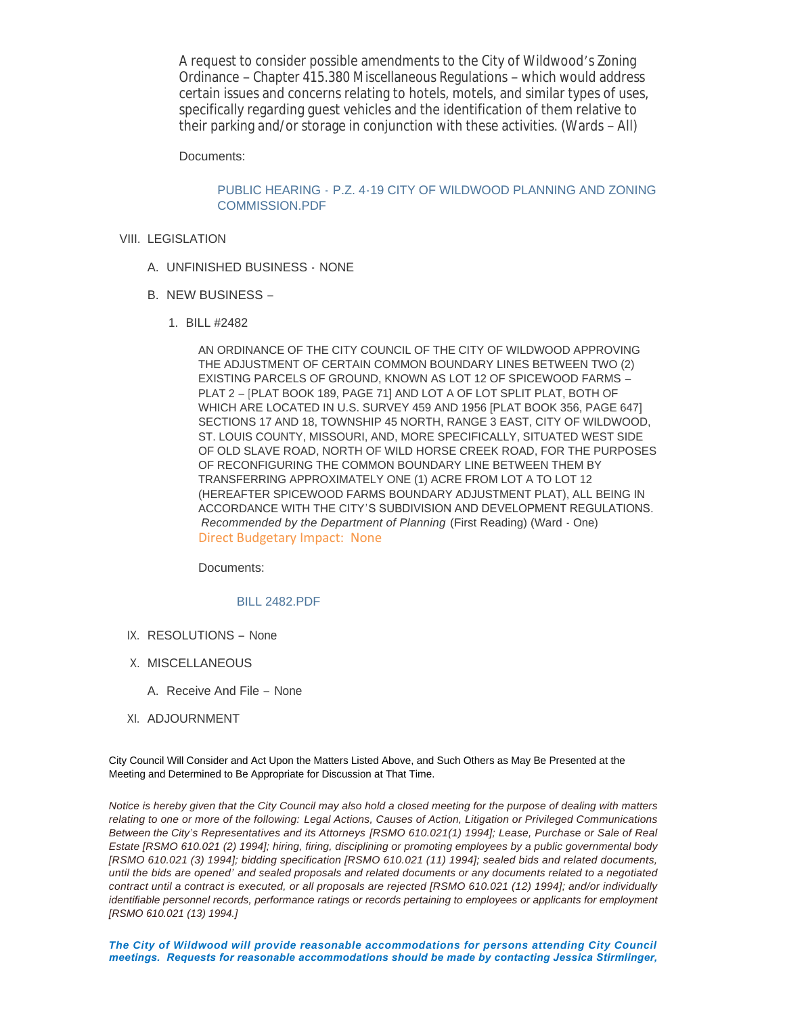A request to consider possible amendments to the City of Wildwood's Zoning Ordinance – Chapter 415.380 Miscellaneous Regulations – which would address certain issues and concerns relating to hotels, motels, and similar types of uses, specifically regarding guest vehicles and the identification of them relative to their parking and/or storage in conjunction with these activities. (Wards – All)

Documents:

# PUBLIC HEARING - [P.Z. 4-19 CITY OF WILDWOOD PLANNING AND ZONING](https://www.cityofwildwood.com/AgendaCenter/ViewFile/Item/20971?fileID=26728)  COMMISSION.PDF

- VIII. LEGISLATION
	- UNFINISHED BUSINESS NONE A.
	- B. NEW BUSINESS
		- BILL #2482 1.

AN ORDINANCE OF THE CITY COUNCIL OF THE CITY OF WILDWOOD APPROVING THE ADJUSTMENT OF CERTAIN COMMON BOUNDARY LINES BETWEEN TWO (2) EXISTING PARCELS OF GROUND, KNOWN AS LOT 12 OF SPICEWOOD FARMS – PLAT 2 – [PLAT BOOK 189, PAGE 71] AND LOT A OF LOT SPLIT PLAT, BOTH OF WHICH ARE LOCATED IN U.S. SURVEY 459 AND 1956 [PLAT BOOK 356, PAGE 647] SECTIONS 17 AND 18, TOWNSHIP 45 NORTH, RANGE 3 EAST, CITY OF WILDWOOD, ST. LOUIS COUNTY, MISSOURI, AND, MORE SPECIFICALLY, SITUATED WEST SIDE OF OLD SLAVE ROAD, NORTH OF WILD HORSE CREEK ROAD, FOR THE PURPOSES OF RECONFIGURING THE COMMON BOUNDARY LINE BETWEEN THEM BY TRANSFERRING APPROXIMATELY ONE (1) ACRE FROM LOT A TO LOT 12 (HEREAFTER SPICEWOOD FARMS BOUNDARY ADJUSTMENT PLAT), ALL BEING IN ACCORDANCE WITH THE CITY'S SUBDIVISION AND DEVELOPMENT REGULATIONS. *Recommended by the Department of Planning* (First Reading) (Ward - One) Direct Budgetary Impact: None

Documents:

## [BILL 2482.PDF](https://www.cityofwildwood.com/AgendaCenter/ViewFile/Item/20978?fileID=26732)

- IX. RESOLUTIONS None
- X. MISCELLANEOUS
	- A. Receive And File None
- XI. ADJOURNMENT

City Council Will Consider and Act Upon the Matters Listed Above, and Such Others as May Be Presented at the Meeting and Determined to Be Appropriate for Discussion at That Time.

*Notice is hereby given that the City Council may also hold a closed meeting for the purpose of dealing with matters relating to one or more of the following: Legal Actions, Causes of Action, Litigation or Privileged Communications Between the City's Representatives and its Attorneys [RSMO 610.021(1) 1994]; Lease, Purchase or Sale of Real Estate [RSMO 610.021 (2) 1994]; hiring, firing, disciplining or promoting employees by a public governmental body [RSMO 610.021 (3) 1994]; bidding specification [RSMO 610.021 (11) 1994]; sealed bids and related documents, until the bids are opened' and sealed proposals and related documents or any documents related to a negotiated contract until a contract is executed, or all proposals are rejected [RSMO 610.021 (12) 1994]; and/or individually identifiable personnel records, performance ratings or records pertaining to employees or applicants for employment [RSMO 610.021 (13) 1994.]*

*The City of Wildwood will provide reasonable accommodations for persons attending City Council meetings. Requests for reasonable accommodations should be made by contacting Jessica Stirmlinger,*